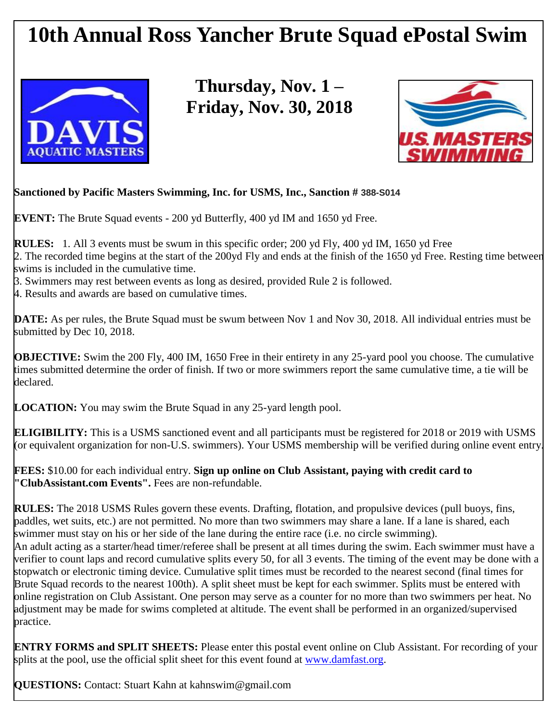## **10th Annual Ross Yancher Brute Squad ePostal Swim**



**Thursday, Nov. 1 – Friday, Nov. 30, 2018**



## **Sanctioned by Pacific Masters Swimming, Inc. for USMS, Inc., Sanction # 388-S014**

**EVENT:** The Brute Squad events - 200 yd Butterfly, 400 yd IM and 1650 yd Free.

**RULES:** 1. All 3 events must be swum in this specific order; 200 yd Fly, 400 yd IM, 1650 yd Free 2. The recorded time begins at the start of the 200yd Fly and ends at the finish of the 1650 yd Free. Resting time between swims is included in the cumulative time.

3. Swimmers may rest between events as long as desired, provided Rule 2 is followed.

4. Results and awards are based on cumulative times.

**DATE:** As per rules, the Brute Squad must be swum between Nov 1 and Nov 30, 2018. All individual entries must be submitted by Dec 10, 2018.

**OBJECTIVE:** Swim the 200 Fly, 400 IM, 1650 Free in their entirety in any 25-yard pool you choose. The cumulative times submitted determine the order of finish. If two or more swimmers report the same cumulative time, a tie will be declared.

**LOCATION:** You may swim the Brute Squad in any 25-yard length pool.

**ELIGIBILITY:** This is a USMS sanctioned event and all participants must be registered for 2018 or 2019 with USMS (or equivalent organization for non-U.S. swimmers). Your USMS membership will be verified during online event entry.

**FEES:** \$10.00 for each individual entry. **Sign up online on Club Assistant, paying with credit card to "ClubAssistant.com Events".** Fees are non-refundable.

**RULES:** The 2018 USMS Rules govern these events. Drafting, flotation, and propulsive devices (pull buoys, fins, paddles, wet suits, etc.) are not permitted. No more than two swimmers may share a lane. If a lane is shared, each swimmer must stay on his or her side of the lane during the entire race (i.e. no circle swimming). An adult acting as a starter/head timer/referee shall be present at all times during the swim. Each swimmer must have a verifier to count laps and record cumulative splits every 50, for all 3 events. The timing of the event may be done with a stopwatch or electronic timing device. Cumulative split times must be recorded to the nearest second (final times for Brute Squad records to the nearest 100th). A split sheet must be kept for each swimmer. Splits must be entered with online registration on Club Assistant. One person may serve as a counter for no more than two swimmers per heat. No adjustment may be made for swims completed at altitude. The event shall be performed in an organized/supervised practice.

**ENTRY FORMS and SPLIT SHEETS:** Please enter this postal event online on Club Assistant. For recording of your splits at the pool, use the official split sheet for this event found at [www.damfast.org.](http://www.damfast.org/)

**QUESTIONS:** Contact: Stuart Kahn at kahnswim@gmail.com